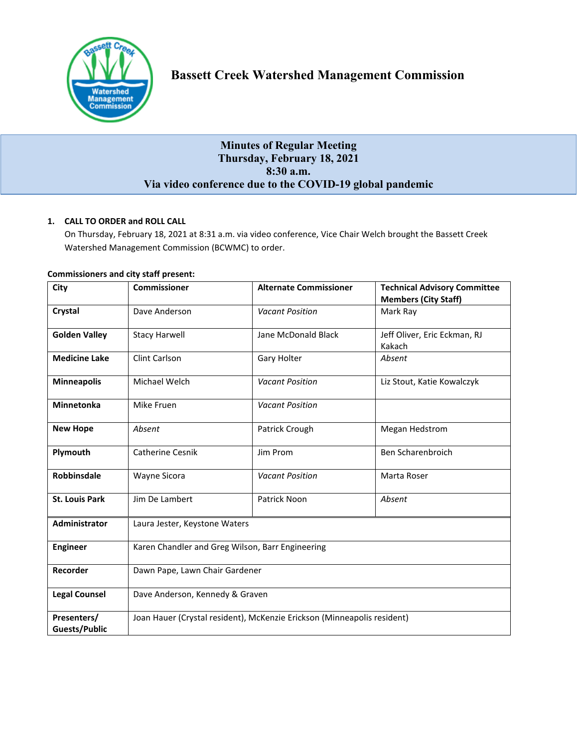

## **Minutes of Regular Meeting Thursday, February 18, 2021 8:30 a.m. Via video conference due to the COVID-19 global pandemic**

## **1. CALL TO ORDER and ROLL CALL**

On Thursday, February 18, 2021 at 8:31 a.m. via video conference, Vice Chair Welch brought the Bassett Creek Watershed Management Commission (BCWMC) to order.

| City                         | <b>Commissioner</b>                                                     | <b>Alternate Commissioner</b> | <b>Technical Advisory Committee</b><br><b>Members (City Staff)</b> |
|------------------------------|-------------------------------------------------------------------------|-------------------------------|--------------------------------------------------------------------|
| Crystal                      | Dave Anderson                                                           | <b>Vacant Position</b>        | Mark Ray                                                           |
| <b>Golden Valley</b>         | <b>Stacy Harwell</b>                                                    | Jane McDonald Black           | Jeff Oliver, Eric Eckman, RJ<br>Kakach                             |
| <b>Medicine Lake</b>         | <b>Clint Carlson</b>                                                    | Gary Holter                   | Absent                                                             |
| <b>Minneapolis</b>           | Michael Welch                                                           | <b>Vacant Position</b>        | Liz Stout, Katie Kowalczyk                                         |
| <b>Minnetonka</b>            | Mike Fruen                                                              | <b>Vacant Position</b>        |                                                                    |
| <b>New Hope</b>              | Absent                                                                  | Patrick Crough                | Megan Hedstrom                                                     |
| Plymouth                     | <b>Catherine Cesnik</b>                                                 | Jim Prom                      | Ben Scharenbroich                                                  |
| <b>Robbinsdale</b>           | Wayne Sicora                                                            | <b>Vacant Position</b>        | Marta Roser                                                        |
| <b>St. Louis Park</b>        | Jim De Lambert                                                          | Patrick Noon                  | Absent                                                             |
| Administrator                | Laura Jester, Keystone Waters                                           |                               |                                                                    |
| <b>Engineer</b>              | Karen Chandler and Greg Wilson, Barr Engineering                        |                               |                                                                    |
| Recorder                     | Dawn Pape, Lawn Chair Gardener                                          |                               |                                                                    |
| <b>Legal Counsel</b>         | Dave Anderson, Kennedy & Graven                                         |                               |                                                                    |
| Presenters/<br>Guests/Public | Joan Hauer (Crystal resident), McKenzie Erickson (Minneapolis resident) |                               |                                                                    |

#### **Commissioners and city staff present:**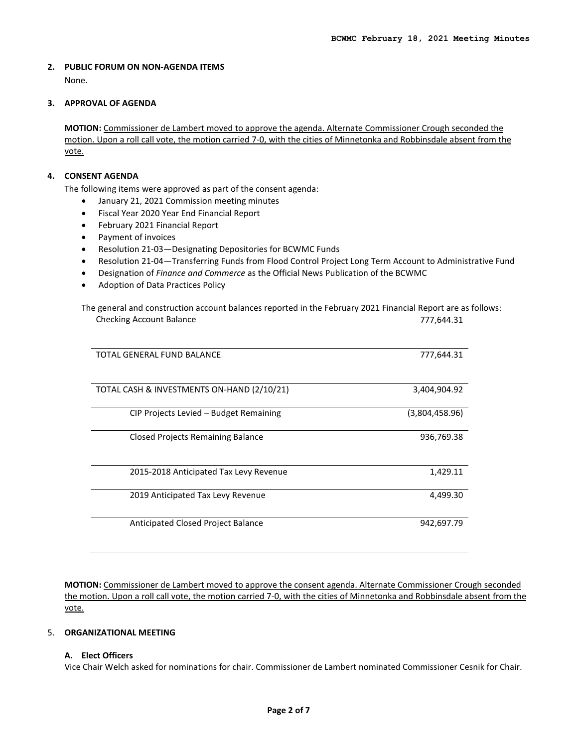# **2. PUBLIC FORUM ON NON-AGENDA ITEMS**

None.

#### **3. APPROVAL OF AGENDA**

**MOTION:** Commissioner de Lambert moved to approve the agenda. Alternate Commissioner Crough seconded the motion. Upon a roll call vote, the motion carried 7-0, with the cities of Minnetonka and Robbinsdale absent from the vote.

#### **4. CONSENT AGENDA**

The following items were approved as part of the consent agenda:

- January 21, 2021 Commission meeting minutes
- Fiscal Year 2020 Year End Financial Report
- February 2021 Financial Report
- Payment of invoices
- Resolution 21-03—Designating Depositories for BCWMC Funds
- Resolution 21-04—Transferring Funds from Flood Control Project Long Term Account to Administrative Fund
- Designation of *Finance and Commerce* as the Official News Publication of the BCWMC
- Adoption of Data Practices Policy

| The general and construction account balances reported in the February 2021 Financial Report are as follows: |                |  |
|--------------------------------------------------------------------------------------------------------------|----------------|--|
| <b>Checking Account Balance</b>                                                                              | 777,644.31     |  |
| TOTAL GENERAL FUND BALANCE                                                                                   | 777,644.31     |  |
|                                                                                                              |                |  |
| TOTAL CASH & INVESTMENTS ON-HAND (2/10/21)                                                                   | 3,404,904.92   |  |
| CIP Projects Levied - Budget Remaining                                                                       | (3,804,458.96) |  |
| Closed Projects Remaining Balance                                                                            | 936,769.38     |  |
| 2015-2018 Anticipated Tax Levy Revenue                                                                       | 1,429.11       |  |
| 2019 Anticipated Tax Levy Revenue                                                                            | 4,499.30       |  |
| Anticipated Closed Project Balance                                                                           | 942,697.79     |  |

**MOTION:** Commissioner de Lambert moved to approve the consent agenda. Alternate Commissioner Crough seconded the motion. Upon a roll call vote, the motion carried 7-0, with the cities of Minnetonka and Robbinsdale absent from the vote.

#### 5. **ORGANIZATIONAL MEETING**

#### **A. Elect Officers**

Vice Chair Welch asked for nominations for chair. Commissioner de Lambert nominated Commissioner Cesnik for Chair.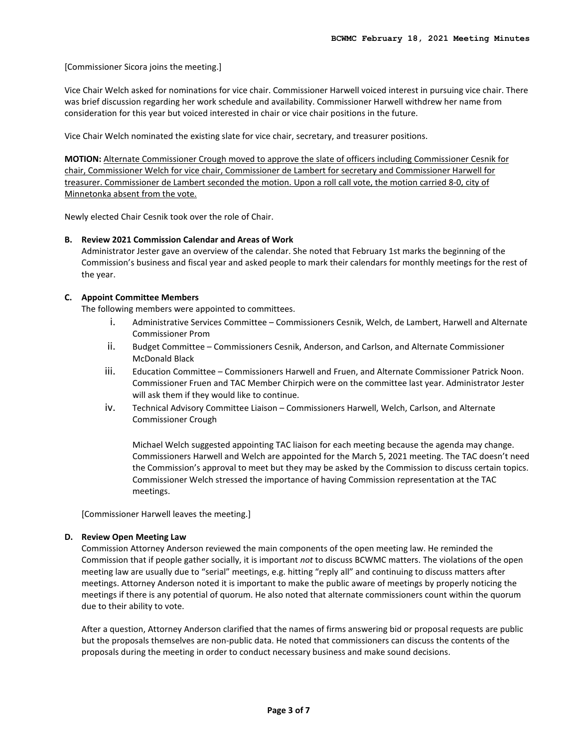[Commissioner Sicora joins the meeting.]

Vice Chair Welch asked for nominations for vice chair. Commissioner Harwell voiced interest in pursuing vice chair. There was brief discussion regarding her work schedule and availability. Commissioner Harwell withdrew her name from consideration for this year but voiced interested in chair or vice chair positions in the future.

Vice Chair Welch nominated the existing slate for vice chair, secretary, and treasurer positions.

**MOTION:** Alternate Commissioner Crough moved to approve the slate of officers including Commissioner Cesnik for chair, Commissioner Welch for vice chair, Commissioner de Lambert for secretary and Commissioner Harwell for treasurer. Commissioner de Lambert seconded the motion. Upon a roll call vote, the motion carried 8-0, city of Minnetonka absent from the vote.

Newly elected Chair Cesnik took over the role of Chair.

#### **B. Review 2021 Commission Calendar and Areas of Work**

Administrator Jester gave an overview of the calendar. She noted that February 1st marks the beginning of the Commission's business and fiscal year and asked people to mark their calendars for monthly meetings for the rest of the year.

#### **C. Appoint Committee Members**

The following members were appointed to committees.

- i. Administrative Services Committee Commissioners Cesnik, Welch, de Lambert, Harwell and Alternate Commissioner Prom
- ii. Budget Committee Commissioners Cesnik, Anderson, and Carlson, and Alternate Commissioner McDonald Black
- iii. Education Committee Commissioners Harwell and Fruen, and Alternate Commissioner Patrick Noon. Commissioner Fruen and TAC Member Chirpich were on the committee last year. Administrator Jester will ask them if they would like to continue.
- iv. Technical Advisory Committee Liaison Commissioners Harwell, Welch, Carlson, and Alternate Commissioner Crough

Michael Welch suggested appointing TAC liaison for each meeting because the agenda may change. Commissioners Harwell and Welch are appointed for the March 5, 2021 meeting. The TAC doesn't need the Commission's approval to meet but they may be asked by the Commission to discuss certain topics. Commissioner Welch stressed the importance of having Commission representation at the TAC meetings.

[Commissioner Harwell leaves the meeting.]

#### **D. Review Open Meeting Law**

Commission Attorney Anderson reviewed the main components of the open meeting law. He reminded the Commission that if people gather socially, it is important *not* to discuss BCWMC matters. The violations of the open meeting law are usually due to "serial" meetings, e.g. hitting "reply all" and continuing to discuss matters after meetings. Attorney Anderson noted it is important to make the public aware of meetings by properly noticing the meetings if there is any potential of quorum. He also noted that alternate commissioners count within the quorum due to their ability to vote.

After a question, Attorney Anderson clarified that the names of firms answering bid or proposal requests are public but the proposals themselves are non-public data. He noted that commissioners can discuss the contents of the proposals during the meeting in order to conduct necessary business and make sound decisions.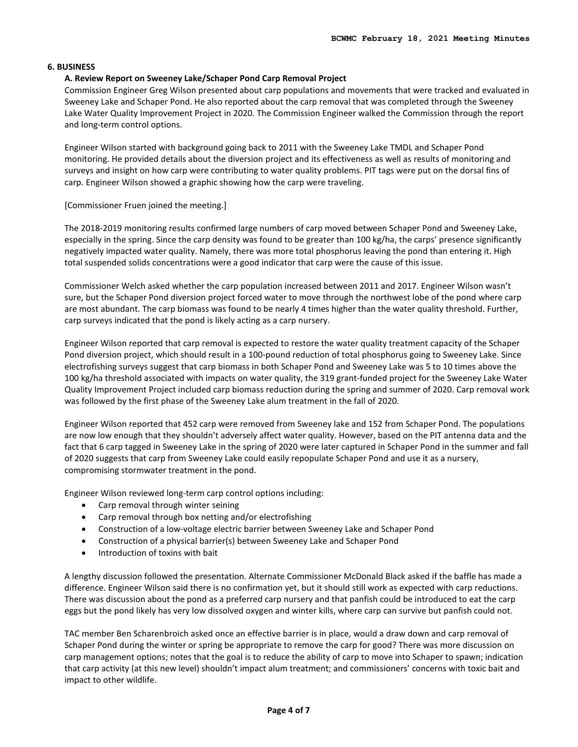#### **6. BUSINESS**

#### **A. Review Report on Sweeney Lake/Schaper Pond Carp Removal Project**

Commission Engineer Greg Wilson presented about carp populations and movements that were tracked and evaluated in Sweeney Lake and Schaper Pond. He also reported about the carp removal that was completed through the Sweeney Lake Water Quality Improvement Project in 2020. The Commission Engineer walked the Commission through the report and long-term control options.

Engineer Wilson started with background going back to 2011 with the Sweeney Lake TMDL and Schaper Pond monitoring. He provided details about the diversion project and its effectiveness as well as results of monitoring and surveys and insight on how carp were contributing to water quality problems. PIT tags were put on the dorsal fins of carp. Engineer Wilson showed a graphic showing how the carp were traveling.

#### [Commissioner Fruen joined the meeting.]

The 2018-2019 monitoring results confirmed large numbers of carp moved between Schaper Pond and Sweeney Lake, especially in the spring. Since the carp density was found to be greater than 100 kg/ha, the carps' presence significantly negatively impacted water quality. Namely, there was more total phosphorus leaving the pond than entering it. High total suspended solids concentrations were a good indicator that carp were the cause of this issue.

Commissioner Welch asked whether the carp population increased between 2011 and 2017. Engineer Wilson wasn't sure, but the Schaper Pond diversion project forced water to move through the northwest lobe of the pond where carp are most abundant. The carp biomass was found to be nearly 4 times higher than the water quality threshold. Further, carp surveys indicated that the pond is likely acting as a carp nursery.

Engineer Wilson reported that carp removal is expected to restore the water quality treatment capacity of the Schaper Pond diversion project, which should result in a 100-pound reduction of total phosphorus going to Sweeney Lake. Since electrofishing surveys suggest that carp biomass in both Schaper Pond and Sweeney Lake was 5 to 10 times above the 100 kg/ha threshold associated with impacts on water quality, the 319 grant-funded project for the Sweeney Lake Water Quality Improvement Project included carp biomass reduction during the spring and summer of 2020. Carp removal work was followed by the first phase of the Sweeney Lake alum treatment in the fall of 2020.

Engineer Wilson reported that 452 carp were removed from Sweeney lake and 152 from Schaper Pond. The populations are now low enough that they shouldn't adversely affect water quality. However, based on the PIT antenna data and the fact that 6 carp tagged in Sweeney Lake in the spring of 2020 were later captured in Schaper Pond in the summer and fall of 2020 suggests that carp from Sweeney Lake could easily repopulate Schaper Pond and use it as a nursery, compromising stormwater treatment in the pond.

Engineer Wilson reviewed long-term carp control options including:

- Carp removal through winter seining
- Carp removal through box netting and/or electrofishing
- Construction of a low-voltage electric barrier between Sweeney Lake and Schaper Pond
- Construction of a physical barrier(s) between Sweeney Lake and Schaper Pond
- Introduction of toxins with bait

A lengthy discussion followed the presentation. Alternate Commissioner McDonald Black asked if the baffle has made a difference. Engineer Wilson said there is no confirmation yet, but it should still work as expected with carp reductions. There was discussion about the pond as a preferred carp nursery and that panfish could be introduced to eat the carp eggs but the pond likely has very low dissolved oxygen and winter kills, where carp can survive but panfish could not.

TAC member Ben Scharenbroich asked once an effective barrier is in place, would a draw down and carp removal of Schaper Pond during the winter or spring be appropriate to remove the carp for good? There was more discussion on carp management options; notes that the goal is to reduce the ability of carp to move into Schaper to spawn; indication that carp activity (at this new level) shouldn't impact alum treatment; and commissioners' concerns with toxic bait and impact to other wildlife.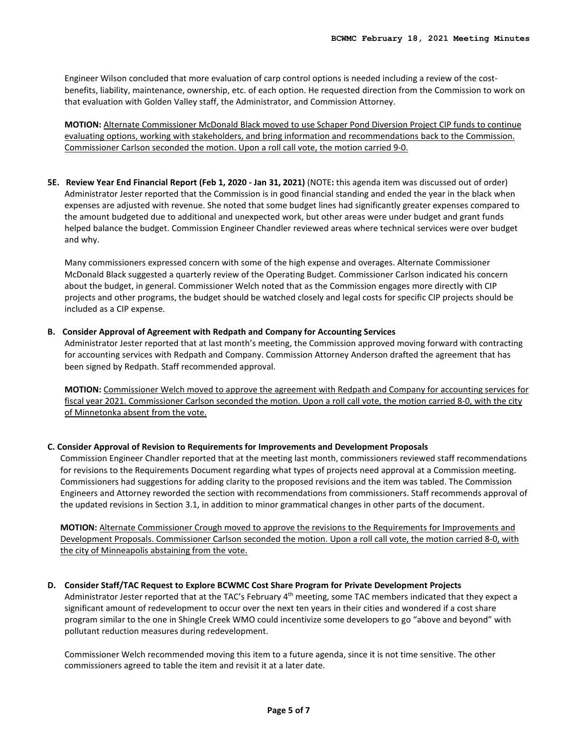Engineer Wilson concluded that more evaluation of carp control options is needed including a review of the costbenefits, liability, maintenance, ownership, etc. of each option. He requested direction from the Commission to work on that evaluation with Golden Valley staff, the Administrator, and Commission Attorney.

**MOTION:** Alternate Commissioner McDonald Black moved to use Schaper Pond Diversion Project CIP funds to continue evaluating options, working with stakeholders, and bring information and recommendations back to the Commission. Commissioner Carlson seconded the motion. Upon a roll call vote, the motion carried 9-0.

**5E. Review Year End Financial Report (Feb 1, 2020 - Jan 31, 2021)** (NOTE**:** this agenda item was discussed out of order) Administrator Jester reported that the Commission is in good financial standing and ended the year in the black when expenses are adjusted with revenue. She noted that some budget lines had significantly greater expenses compared to the amount budgeted due to additional and unexpected work, but other areas were under budget and grant funds helped balance the budget. Commission Engineer Chandler reviewed areas where technical services were over budget and why.

Many commissioners expressed concern with some of the high expense and overages. Alternate Commissioner McDonald Black suggested a quarterly review of the Operating Budget. Commissioner Carlson indicated his concern about the budget, in general. Commissioner Welch noted that as the Commission engages more directly with CIP projects and other programs, the budget should be watched closely and legal costs for specific CIP projects should be included as a CIP expense.

#### **B. Consider Approval of Agreement with Redpath and Company for Accounting Services**

Administrator Jester reported that at last month's meeting, the Commission approved moving forward with contracting for accounting services with Redpath and Company. Commission Attorney Anderson drafted the agreement that has been signed by Redpath. Staff recommended approval.

**MOTION:** Commissioner Welch moved to approve the agreement with Redpath and Company for accounting services for fiscal year 2021. Commissioner Carlson seconded the motion. Upon a roll call vote, the motion carried 8-0, with the city of Minnetonka absent from the vote.

#### **C. Consider Approval of Revision to Requirements for Improvements and Development Proposals**

Commission Engineer Chandler reported that at the meeting last month, commissioners reviewed staff recommendations for revisions to the Requirements Document regarding what types of projects need approval at a Commission meeting. Commissioners had suggestions for adding clarity to the proposed revisions and the item was tabled. The Commission Engineers and Attorney reworded the section with recommendations from commissioners. Staff recommends approval of the updated revisions in Section 3.1, in addition to minor grammatical changes in other parts of the document.

**MOTION:** Alternate Commissioner Crough moved to approve the revisions to the Requirements for Improvements and Development Proposals. Commissioner Carlson seconded the motion. Upon a roll call vote, the motion carried 8-0, with the city of Minneapolis abstaining from the vote.

#### **D. Consider Staff/TAC Request to Explore BCWMC Cost Share Program for Private Development Projects**

Administrator Jester reported that at the TAC's February 4<sup>th</sup> meeting, some TAC members indicated that they expect a significant amount of redevelopment to occur over the next ten years in their cities and wondered if a cost share program similar to the one in Shingle Creek WMO could incentivize some developers to go "above and beyond" with pollutant reduction measures during redevelopment.

Commissioner Welch recommended moving this item to a future agenda, since it is not time sensitive. The other commissioners agreed to table the item and revisit it at a later date.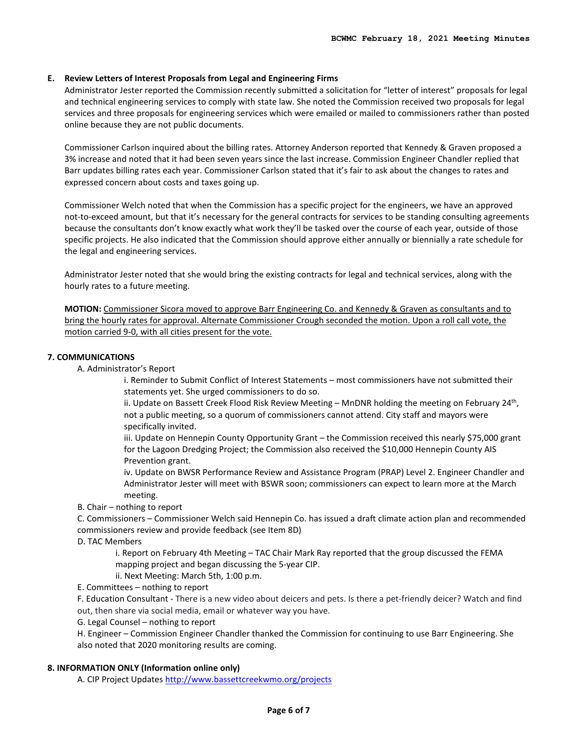#### **E. Review Letters of Interest Proposals from Legal and Engineering Firms**

Administrator Jester reported the Commission recently submitted a solicitation for "letter of interest" proposals for legal and technical engineering services to comply with state law. She noted the Commission received two proposals for legal services and three proposals for engineering services which were emailed or mailed to commissioners rather than posted online because they are not public documents.

Commissioner Carlson inquired about the billing rates. Attorney Anderson reported that Kennedy & Graven proposed a 3% increase and noted that it had been seven years since the last increase. Commission Engineer Chandler replied that Barr updates billing rates each year. Commissioner Carlson stated that it's fair to ask about the changes to rates and expressed concern about costs and taxes going up.

Commissioner Welch noted that when the Commission has a specific project for the engineers, we have an approved not-to-exceed amount, but that it's necessary for the general contracts for services to be standing consulting agreements because the consultants don't know exactly what work they'll be tasked over the course of each year, outside of those specific projects. He also indicated that the Commission should approve either annually or biennially a rate schedule for the legal and engineering services.

Administrator Jester noted that she would bring the existing contracts for legal and technical services, along with the hourly rates to a future meeting.

**MOTION:** Commissioner Sicora moved to approve Barr Engineering Co. and Kennedy & Graven as consultants and to bring the hourly rates for approval. Alternate Commissioner Crough seconded the motion. Upon a roll call vote, the motion carried 9-0, with all cities present for the vote.

#### **7. COMMUNICATIONS**

A. Administrator's Report

i. Reminder to Submit Conflict of Interest Statements – most commissioners have not submitted their statements yet. She urged commissioners to do so.

ii. Update on Bassett Creek Flood Risk Review Meeting – MnDNR holding the meeting on February 24<sup>th</sup>, not a public meeting, so a quorum of commissioners cannot attend. City staff and mayors were specifically invited.

iii. Update on Hennepin County Opportunity Grant – the Commission received this nearly \$75,000 grant for the Lagoon Dredging Project; the Commission also received the \$10,000 Hennepin County AIS Prevention grant.

iv. Update on BWSR Performance Review and Assistance Program (PRAP) Level 2. Engineer Chandler and Administrator Jester will meet with BSWR soon; commissioners can expect to learn more at the March meeting.

B. Chair – nothing to report

C. Commissioners – Commissioner Welch said Hennepin Co. has issued a draft climate action plan and recommended commissioners review and provide feedback (see Item 8D)

D. TAC Members

i. Report on February 4th Meeting – TAC Chair Mark Ray reported that the group discussed the FEMA mapping project and began discussing the 5-year CIP.

ii. Next Meeting: March 5th, 1:00 p.m.

E. Committees – nothing to report

F. Education Consultant - There is a new video about deicers and pets. Is there a pet-friendly deicer? Watch and find out, then share via social media, email or whatever way you have.

G. Legal Counsel – nothing to report

H. Engineer – Commission Engineer Chandler thanked the Commission for continuing to use Barr Engineering. She also noted that 2020 monitoring results are coming.

## **8. INFORMATION ONLY (Information online only)**

A. CIP Project Updates<http://www.bassettcreekwmo.org/projects>